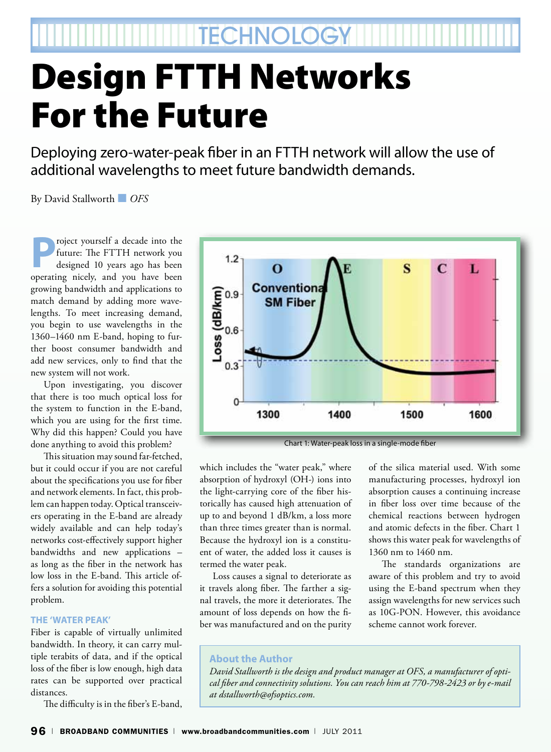**TECHNOLOGY** 

## Design FTTH Networks For the Future

Deploying zero-water-peak fiber in an FTTH network will allow the use of additional wavelengths to meet future bandwidth demands.

By David Stallworth ■ *OFS*

**P**roject yourself a decade into the<br>future: The FTTH network you<br>designed 10 years ago has been future: The FTTH network you designed 10 years ago has been operating nicely, and you have been growing bandwidth and applications to match demand by adding more wavelengths. To meet increasing demand, you begin to use wavelengths in the 1360–1460 nm E-band, hoping to further boost consumer bandwidth and add new services, only to find that the new system will not work.

Upon investigating, you discover that there is too much optical loss for the system to function in the E-band, which you are using for the first time. Why did this happen? Could you have done anything to avoid this problem?

This situation may sound far-fetched, but it could occur if you are not careful about the specifications you use for fiber and network elements. In fact, this problem can happen today. Optical transceivers operating in the E-band are already widely available and can help today's networks cost-effectively support higher bandwidths and new applications – as long as the fiber in the network has low loss in the E-band. This article offers a solution for avoiding this potential problem.

## **The 'Water Peak'**

Fiber is capable of virtually unlimited bandwidth. In theory, it can carry multiple terabits of data, and if the optical loss of the fiber is low enough, high data rates can be supported over practical distances.

The difficulty is in the fiber's E-band,



Chart 1: Water-peak loss in a single-mode fiber

which includes the "water peak," where absorption of hydroxyl (OH-) ions into the light-carrying core of the fiber historically has caused high attenuation of up to and beyond 1 dB/km, a loss more than three times greater than is normal. Because the hydroxyl ion is a constituent of water, the added loss it causes is termed the water peak.

Loss causes a signal to deteriorate as it travels along fiber. The farther a signal travels, the more it deteriorates. The amount of loss depends on how the fiber was manufactured and on the purity

of the silica material used. With some manufacturing processes, hydroxyl ion absorption causes a continuing increase in fiber loss over time because of the chemical reactions between hydrogen and atomic defects in the fiber. Chart 1 shows this water peak for wavelengths of 1360 nm to 1460 nm.

The standards organizations are aware of this problem and try to avoid using the E-band spectrum when they assign wavelengths for new services such as 10G-PON. However, this avoidance scheme cannot work forever.

## **About the Author**

*David Stallworth is the design and product manager at OFS, a manufacturer of optical fiber and connectivity solutions. You can reach him at 770-798-2423 or by e-mail at dstallworth@ofsoptics.com.*